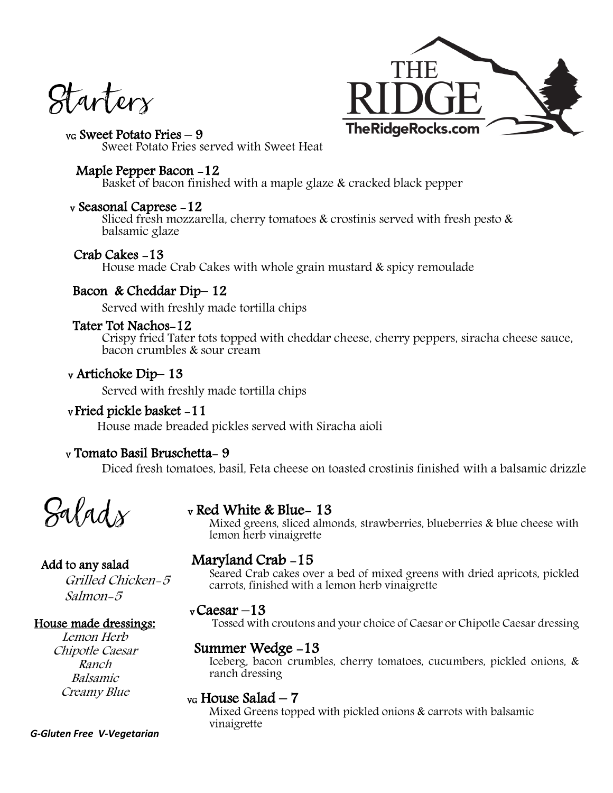Startery



VG Sweet Potato Fries – 9 Sweet Potato Fries served with Sweet Heat

## Maple Pepper Bacon -12

Basket of bacon finished with a maple glaze & cracked black pepper

#### v Seasonal Caprese -12

Sliced fresh mozzarella, cherry tomatoes & crostinis served with fresh pesto  $\&$ balsamic glaze

## Crab Cakes -13

House made Crab Cakes with whole grain mustard & spicy remoulade

# Bacon & Cheddar Dip– 12

Served with freshly made tortilla chips

## Tater Tot Nachos-12

Crispy fried Tater tots topped with cheddar cheese, cherry peppers, siracha cheese sauce, bacon crumbles & sour cream

# v Artichoke Dip– 13

Served with freshly made tortilla chips

## <sup>V</sup>Fried pickle basket -11

House made breaded pickles served with Siracha aioli

# <sup>V</sup> Tomato Basil Bruschetta- 9

Diced fresh tomatoes, basil, Feta cheese on toasted crostinis finished with a balsamic drizzle

Salad $\chi$ 

# <sup>v</sup> Red White & Blue- 13

Mixed greens, sliced almonds, strawberries, blueberries & blue cheese with lemon herb vinaigrette

## Add to any salad

Grilled Chicken-5 Salmon-5

# House made dressings:

Lemon Herb Chipotle Caesar Ranch Balsamic Creamy Blue

# Maryland Crab -15

Seared Crab cakes over a bed of mixed greens with dried apricots, pickled carrots, finished with a lemon herb vinaigrette

# <sup>v</sup> Caesar –13

Tossed with croutons and your choice of Caesar or Chipotle Caesar dressing

# Summer Wedge -13

Iceberg, bacon crumbles, cherry tomatoes, cucumbers, pickled onions, & ranch dressing

# $v<sub>G</sub>$  House Salad – 7

Mixed Greens topped with pickled onions & carrots with balsamic vinaigrette

#### *G-Gluten Free V-Vegetarian*